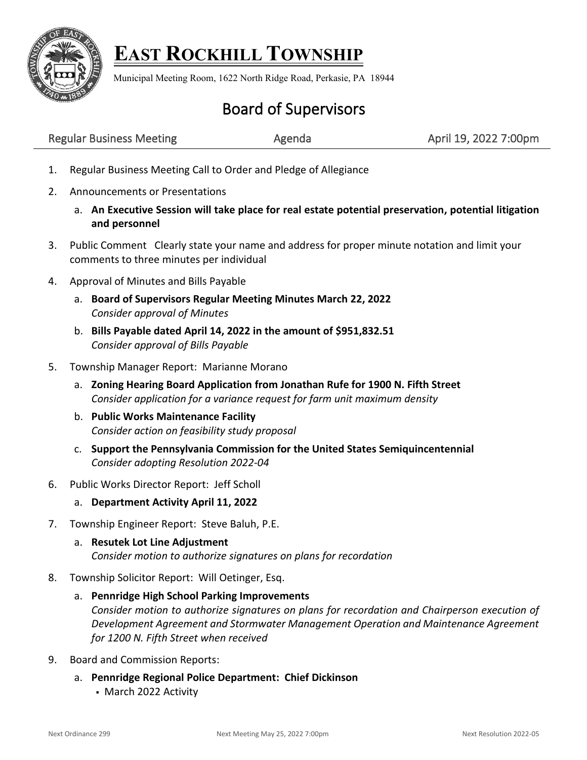

## **EAST ROCKHILL TOWNSHIP**

Municipal Meeting Room, 1622 North Ridge Road, Perkasie, PA 18944

## Board of Supervisors

| <b>Regular Business Meeting</b> | Agenda | April 19, 2022 7:00pm |
|---------------------------------|--------|-----------------------|
|---------------------------------|--------|-----------------------|

- 1. Regular Business Meeting Call to Order and Pledge of Allegiance
- 2. Announcements or Presentations
	- a. **An Executive Session will take place for real estate potential preservation, potential litigation and personnel**
- 3. Public Comment Clearly state your name and address for proper minute notation and limit your comments to three minutes per individual
- 4. Approval of Minutes and Bills Payable
	- a. **Board of Supervisors Regular Meeting Minutes March 22, 2022** *Consider approval of Minutes*
	- b. **Bills Payable dated April 14, 2022 in the amount of \$951,832.51** *Consider approval of Bills Payable*
- 5. Township Manager Report: Marianne Morano
	- a. **Zoning Hearing Board Application from Jonathan Rufe for 1900 N. Fifth Street** *Consider application for a variance request for farm unit maximum density*
	- b. **Public Works Maintenance Facility** *Consider action on feasibility study proposal*
	- c. **Support the Pennsylvania Commission for the United States Semiquincentennial**  *Consider adopting Resolution 2022-04*
- 6. Public Works Director Report: Jeff Scholl
	- a. **Department Activity April 11, 2022**
- 7. Township Engineer Report: Steve Baluh, P.E.
	- a. **Resutek Lot Line Adjustment** *Consider motion to authorize signatures on plans for recordation*
- 8. Township Solicitor Report: Will Oetinger, Esq.
	- a. **Pennridge High School Parking Improvements** *Consider motion to authorize signatures on plans for recordation and Chairperson execution of Development Agreement and Stormwater Management Operation and Maintenance Agreement for 1200 N. Fifth Street when received*
- 9. Board and Commission Reports:
	- a. **Pennridge Regional Police Department: Chief Dickinson** ▪ March 2022 Activity